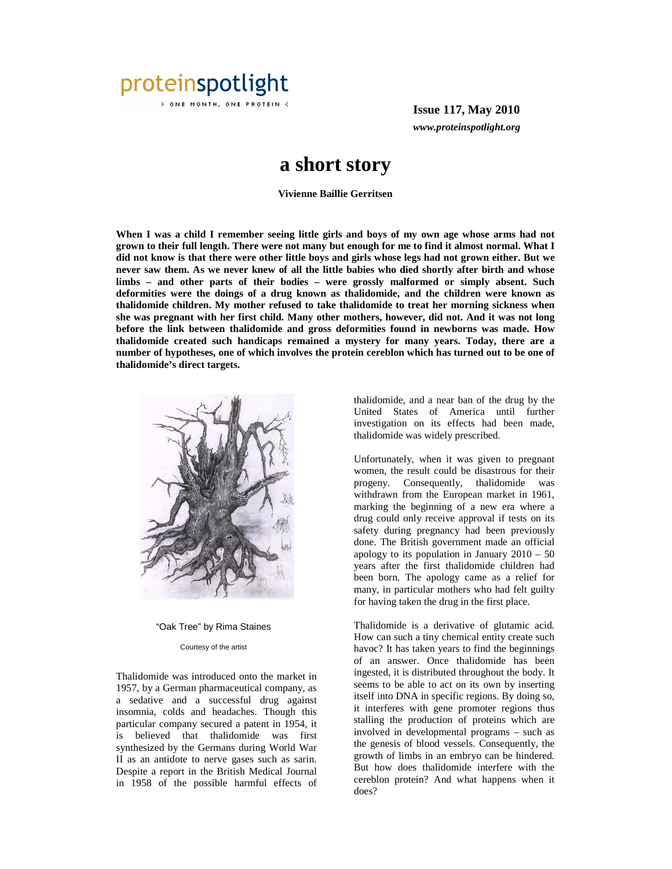

> ONE MONTH, ONE PROTEIN <

**Issue 117, May 2010** *www.proteinspotlight.org*

## **a short story**

**Vivienne Baillie Gerritsen** 

When I was a child I remember seeing little girls and boys of my own age whose arms had not **grown to their full length. There were not many but enough for me to find it almost normal. What I did not know is that there were other little boys and girls whose legs had not grown either. But we never saw them. As we never knew of all the little babies who died shortly after birth and whose limbs – and other parts of their bodies – were grossly malformed or simply absent. Such deformities were the doings of a drug known as thalidomide, and the children were known as thalidomide children. My mother refused to take thalidomide to treat her morning sickness when she was pregnant with her first child. Many other mothers, however, did not. And it was not long before the link between thalidomide and gross deformities found in newborns was made. How thalidomide created such handicaps remained a mystery for many years. Today, there are a number of hypotheses, one of which involves the protein cereblon which has turned out to be one of thalidomide's direct targets.** 



"Oak Tree" by Rima Staines

## Courtesy of the artist

Thalidomide was introduced onto the market in 1957, by a German pharmaceutical company, as a sedative and a successful drug against insomnia, colds and headaches. Though this particular company secured a patent in 1954, it is believed that thalidomide was first synthesized by the Germans during World War II as an antidote to nerve gases such as sarin. Despite a report in the British Medical Journal in 1958 of the possible harmful effects of

thalidomide, and a near ban of the drug by the United States of America until further investigation on its effects had been made, thalidomide was widely prescribed.

Unfortunately, when it was given to pregnant women, the result could be disastrous for their progeny. Consequently, thalidomide was withdrawn from the European market in 1961, marking the beginning of a new era where a drug could only receive approval if tests on its safety during pregnancy had been previously done. The British government made an official apology to its population in January  $2010 - 50$ years after the first thalidomide children had been born. The apology came as a relief for many, in particular mothers who had felt guilty for having taken the drug in the first place.

Thalidomide is a derivative of glutamic acid. How can such a tiny chemical entity create such havoc? It has taken years to find the beginnings of an answer. Once thalidomide has been ingested, it is distributed throughout the body. It seems to be able to act on its own by inserting itself into DNA in specific regions. By doing so, it interferes with gene promoter regions thus stalling the production of proteins which are involved in developmental programs – such as the genesis of blood vessels. Consequently, the growth of limbs in an embryo can be hindered. But how does thalidomide interfere with the cereblon protein? And what happens when it does?